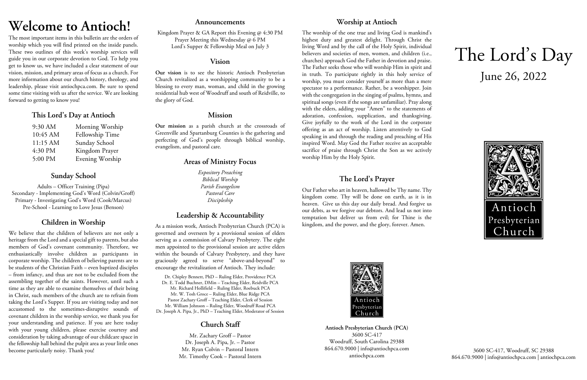# **Welcome to Antioch!**

The most important items in this bulletin are the orders of worship which you will find printed on the inside panels. These two outlines of this week's worship services will guide you in our corporate devotion to God. To help you get to know us, we have included a clear statement of our vision, mission, and primary areas of focus as a church. For more information about our church history, theology, and leadership, please visit antiochpca.com. Be sure to spend some time visiting with us after the service. We are looking forward to getting to know you!

## **This Lord's Day at Antioch**

| 9:30 AM  | Morning Worship |
|----------|-----------------|
| 10:45 AM | Fellowship Time |
| 11:15 AM | Sunday School   |
| 4:30 PM  | Kingdom Prayer  |
| 5:00 PM  | Evening Worship |

## **Sunday School**

Adults – Officer Training (Pipa) Secondary - Implementing God's Word (Colvin/Groff) Primary - Investigating God's Word (Cook/Marcus) Pre-School - Learning to Love Jesus (Benson)

# **Children in Worship**

We believe that the children of believers are not only a heritage from the Lord and a special gift to parents, but also members of God's covenant community. Therefore, we enthusiastically involve children as participants in corporate worship. The children of believing parents are to be students of the Christian Faith – even baptized disciples – from infancy, and thus are not to be excluded from the assembling together of the saints. However, until such a time as they are able to examine themselves of their being in Christ, such members of the church are to refrain from taking the Lord's Supper. If you are visiting today and not accustomed to the sometimes-disruptive sounds of covenant children in the worship service, we thank you for your understanding and patience. If you are here today with your young children, please exercise courtesy and consideration by taking advantage of our childcare space in the fellowship hall behind the pulpit area as your little ones become particularly noisy. Thank you!

### **Announcements**

Kingdom Prayer & GA Report this Evening @ 4:30 PM Prayer Meeting this Wednesday @ 6 PM Lord's Supper & Fellowship Meal on July 3

### **Vision**

**Our vision** is to see the historic Antioch Presbyterian Church revitalized as a worshipping community to be a blessing to every man, woman, and child in the growing residential hub west of Woodruff and south of Reidville, to the glory of God.

### **Mission**

**Our mission** as a parish church at the crossroads of Greenville and Spartanburg Counties is the gathering and perfecting of God's people through biblical worship, evangelism, and pastoral care.

# **Areas of Ministry Focus**

*Expository Preaching Biblical Worship Parish Evangelism Pastoral Care Discipleship*

# **Leadership & Accountability**

As a mission work, Antioch Presbyterian Church (PCA) is governed and overseen by a provisional session of elders serving as a commission of Calvary Presbytery. The eight men appointed to the provisional session are active elders within the bounds of Calvary Presbytery, and they have graciously agreed to serve "above-and-beyond" to encourage the revitalization of Antioch. They include:

Dr. Chipley Bennett, PhD – Ruling Elder, Providence PCA Dr. E. Todd Buchner, DMin – Teaching Elder, Reidville PCA Mr. Richard Hollifield – Ruling Elder, Roebuck PCA Mr. W. Tosh Groce – Ruling Elder, Blue Ridge PCA Pastor Zachary Groff – Teaching Elder, Clerk of Session Mr. William Johnson – Ruling Elder, Woodruff Road PCA Dr. Joseph A. Pipa, Jr., PhD – Teaching Elder, Moderator of Session

# **Church Staff**

Mr. Zachary Groff – Pastor Dr. Joseph A. Pipa, Jr. – Pastor Mr. Ryan Colvin – Pastoral Intern Mr. Timothy Cook – Pastoral Intern

# **Worship at Antioch**

The worship of the one true and living God is mankind's highest duty and greatest delight. Through Christ the living Word and by the call of the Holy Spirit, individual believers and societies of men, women, and children (i.e., churches) approach God the Father in devotion and praise. The Father seeks those who will worship Him in spirit and in truth. To participate rightly in this holy service of worship, you must consider yourself as more than a mere spectator to a performance. Rather, be a worshipper. Join with the congregation in the singing of psalms, hymns, and spiritual songs (even if the songs are unfamiliar). Pray along with the elders, adding your "Amen" to the statements of adoration, confession, supplication, and thanksgiving. Give joyfully to the work of the Lord in the corporate offering as an act of worship. Listen attentively to God speaking in and through the reading and preaching of His inspired Word. May God the Father receive an acceptable sacrifice of praise through Christ the Son as we actively worship Him by the Holy Spirit.

## **The Lord's Prayer**

Our Father who art in heaven, hallowed be Thy name. Thy kingdom come. Thy will be done on earth, as it is in heaven. Give us this day our daily bread. And forgive us our debts, as we forgive our debtors. And lead us not into temptation but deliver us from evil; for Thine is the kingdom, and the power, and the glory, forever. Amen.



**Antioch Presbyterian Church (PCA)** 3600 SC-417 Woodruff, South Carolina 29388 864.670.9000 | info@antiochpca.com antiochpca.com

# The Lord's Day June 26, 2022



3600 SC-417, Woodruff, SC 29388 864.670.9000 | info@antiochpca.com | antiochpca.com